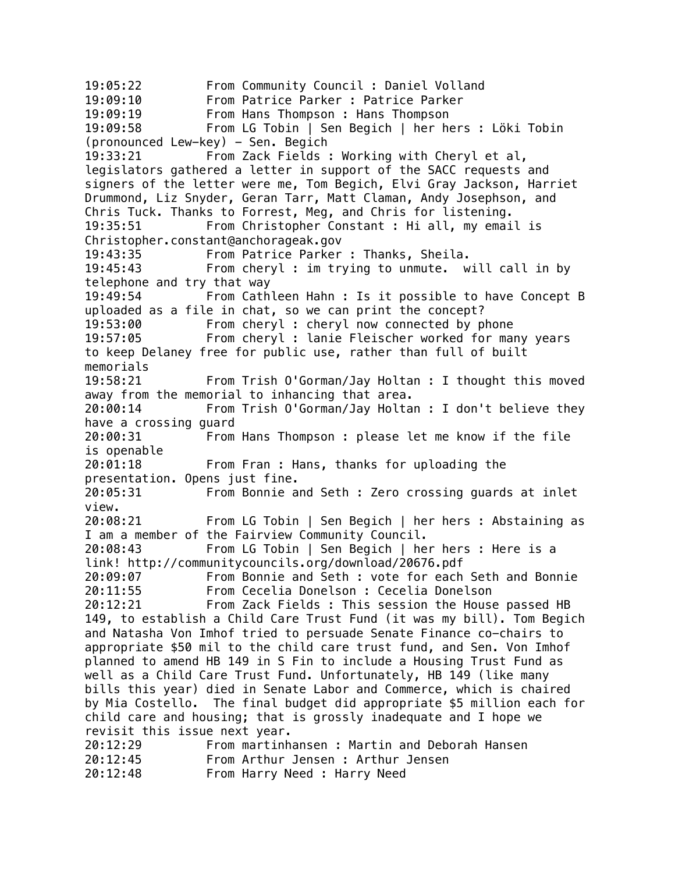19:05:22 From Community Council : Daniel Volland 19:09:10 From Patrice Parker : Patrice Parker 19:09:19 From Hans Thompson : Hans Thompson 19:09:58 From LG Tobin | Sen Begich | her hers : Löki Tobin  $(pronounced \tlew-key) - Sen.$  Begich 19:33:21 From Zack Fields : Working with Cheryl et al, legislators gathered a letter in support of the SACC requests and signers of the letter were me, Tom Begich, Elvi Gray Jackson, Harriet Drummond, Liz Snyder, Geran Tarr, Matt Claman, Andy Josephson, and Chris Tuck. Thanks to Forrest, Meg, and Chris for listening. 19:35:51 From Christopher Constant : Hi all, my email is Christopher.constant@anchorageak.gov 19:43:35 From Patrice Parker : Thanks, Sheila. 19:45:43 From cheryl : im trying to unmute. will call in by telephone and try that way 19:49:54 From Cathleen Hahn : Is it possible to have Concept B uploaded as a file in chat, so we can print the concept? 19:53:00 From cheryl : cheryl now connected by phone 19:57:05 From cheryl : lanie Fleischer worked for many years to keep Delaney free for public use, rather than full of built memorials 19:58:21 From Trish O'Gorman/Jay Holtan : I thought this moved away from the memorial to inhancing that area. 20:00:14 From Trish O'Gorman/Jay Holtan : I don't believe they have a crossing guard 20:00:31 From Hans Thompson : please let me know if the file is openable 20:01:18 From Fran : Hans, thanks for uploading the presentation. Opens just fine. 20:05:31 From Bonnie and Seth : Zero crossing guards at inlet view. 20:08:21 From LG Tobin | Sen Begich | her hers : Abstaining as I am a member of the Fairview Community Council. 20:08:43 From LG Tobin | Sen Begich | her hers : Here is a link! http://communitycouncils.org/download/20676.pdf 20:09:07 From Bonnie and Seth : vote for each Seth and Bonnie 20:11:55 From Cecelia Donelson : Cecelia Donelson 20:12:21 From Zack Fields : This session the House passed HB 149, to establish a Child Care Trust Fund (it was my bill). Tom Begich and Natasha Von Imhof tried to persuade Senate Finance co-chairs to appropriate \$50 mil to the child care trust fund, and Sen. Von Imhof planned to amend HB 149 in S Fin to include a Housing Trust Fund as well as a Child Care Trust Fund. Unfortunately, HB 149 (like many bills this year) died in Senate Labor and Commerce, which is chaired by Mia Costello. The final budget did appropriate \$5 million each for child care and housing; that is grossly inadequate and I hope we revisit this issue next year. 20:12:29 From martinhansen : Martin and Deborah Hansen 20:12:45 From Arthur Jensen : Arthur Jensen 20:12:48 From Harry Need : Harry Need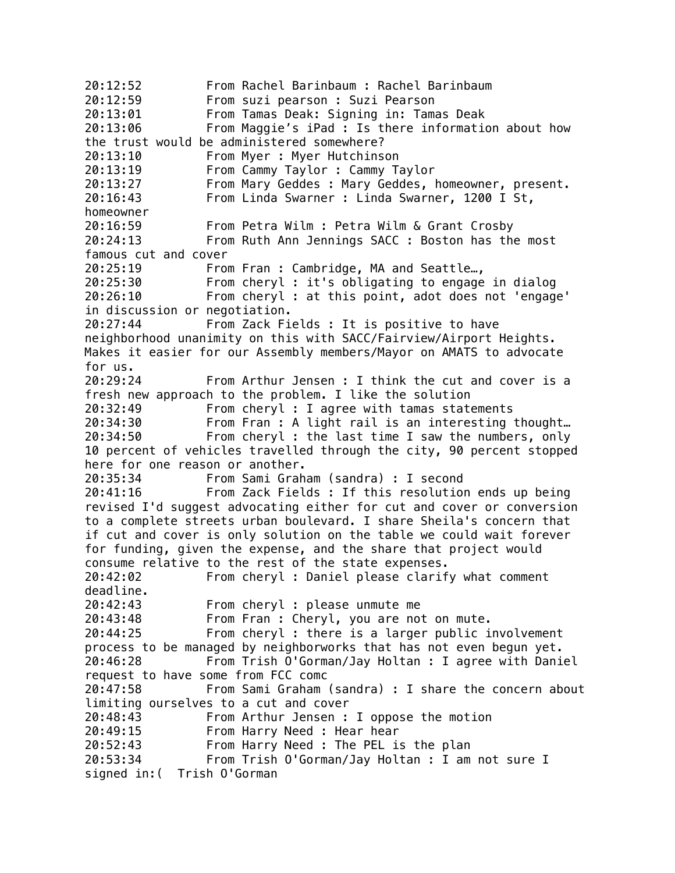20:12:52 From Rachel Barinbaum : Rachel Barinbaum 20:12:59 From suzi pearson : Suzi Pearson 20:13:01 From Tamas Deak: Signing in: Tamas Deak 20:13:06 From Maggie's iPad : Is there information about how the trust would be administered somewhere? 20:13:10 From Myer : Myer Hutchinson 20:13:19 From Cammy Taylor : Cammy Taylor 20:13:27 From Mary Geddes : Mary Geddes, homeowner, present. 20:16:43 From Linda Swarner : Linda Swarner, 1200 I St, homeowner 20:16:59 From Petra Wilm : Petra Wilm & Grant Crosby 20:24:13 From Ruth Ann Jennings SACC : Boston has the most famous cut and cover 20:25:19 From Fran : Cambridge, MA and Seattle…, 20:25:30 From cheryl : it's obligating to engage in dialog 20:26:10 From cheryl : at this point, adot does not 'engage' in discussion or negotiation. 20:27:44 From Zack Fields : It is positive to have neighborhood unanimity on this with SACC/Fairview/Airport Heights. Makes it easier for our Assembly members/Mayor on AMATS to advocate for us. 20:29:24 From Arthur Jensen : I think the cut and cover is a fresh new approach to the problem. I like the solution 20:32:49 From cheryl : I agree with tamas statements 20:34:30 From Fran : A light rail is an interesting thought… 20:34:50 From cheryl : the last time I saw the numbers, only 10 percent of vehicles travelled through the city, 90 percent stopped here for one reason or another. 20:35:34 From Sami Graham (sandra) : I second 20:41:16 From Zack Fields : If this resolution ends up being revised I'd suggest advocating either for cut and cover or conversion to a complete streets urban boulevard. I share Sheila's concern that if cut and cover is only solution on the table we could wait forever for funding, given the expense, and the share that project would consume relative to the rest of the state expenses. 20:42:02 From cheryl : Daniel please clarify what comment deadline. 20:42:43 From cheryl : please unmute me 20:43:48 From Fran : Cheryl, you are not on mute. 20:44:25 From cheryl : there is a larger public involvement process to be managed by neighborworks that has not even begun yet. 20:46:28 From Trish O'Gorman/Jay Holtan : I agree with Daniel request to have some from FCC comc 20:47:58 From Sami Graham (sandra) : I share the concern about limiting ourselves to a cut and cover 20:48:43 From Arthur Jensen : I oppose the motion 20:49:15 From Harry Need : Hear hear 20:52:43 From Harry Need : The PEL is the plan 20:53:34 From Trish O'Gorman/Jay Holtan : I am not sure I signed in:( Trish O'Gorman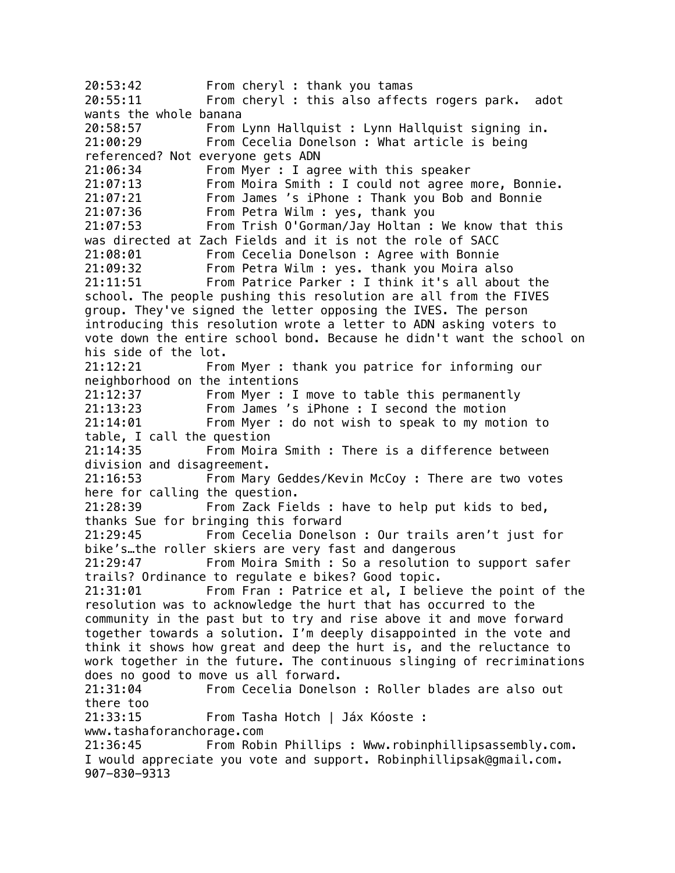20:53:42 From cheryl : thank you tamas 20:55:11 From cheryl : this also affects rogers park. adot wants the whole banana 20:58:57 From Lynn Hallquist : Lynn Hallquist signing in. 21:00:29 From Cecelia Donelson : What article is being referenced? Not everyone gets ADN 21:06:34 From Myer : I agree with this speaker 21:07:13 From Moira Smith : I could not agree more, Bonnie. 21:07:21 From James 's iPhone : Thank you Bob and Bonnie 21:07:36 From Petra Wilm : yes, thank you 21:07:53 From Trish O'Gorman/Jay Holtan : We know that this was directed at Zach Fields and it is not the role of SACC 21:08:01 From Cecelia Donelson : Agree with Bonnie 21:09:32 From Petra Wilm : yes. thank you Moira also 21:11:51 From Patrice Parker : I think it's all about the school. The people pushing this resolution are all from the FIVES group. They've signed the letter opposing the IVES. The person introducing this resolution wrote a letter to ADN asking voters to vote down the entire school bond. Because he didn't want the school on his side of the lot. 21:12:21 From Myer : thank you patrice for informing our neighborhood on the intentions<br>21:12:37 From Myer : I From Myer : I move to table this permanently 21:13:23 From James 's iPhone : I second the motion 21:14:01 From Myer : do not wish to speak to my motion to table, I call the question 21:14:35 From Moira Smith : There is a difference between division and disagreement. 21:16:53 From Mary Geddes/Kevin McCoy : There are two votes here for calling the question. 21:28:39 From Zack Fields : have to help put kids to bed, thanks Sue for bringing this forward 21:29:45 From Cecelia Donelson : Our trails aren't just for bike's…the roller skiers are very fast and dangerous 21:29:47 From Moira Smith : So a resolution to support safer trails? Ordinance to regulate e bikes? Good topic. 21:31:01 From Fran : Patrice et al, I believe the point of the resolution was to acknowledge the hurt that has occurred to the community in the past but to try and rise above it and move forward together towards a solution. I'm deeply disappointed in the vote and think it shows how great and deep the hurt is, and the reluctance to work together in the future. The continuous slinging of recriminations does no good to move us all forward. 21:31:04 From Cecelia Donelson : Roller blades are also out there too 21:33:15 From Tasha Hotch | Jáx Kóoste : www.tashaforanchorage.com 21:36:45 From Robin Phillips : Www.robinphillipsassembly.com. I would appreciate you vote and support. Robinphillipsak@gmail.com. 907-830-9313